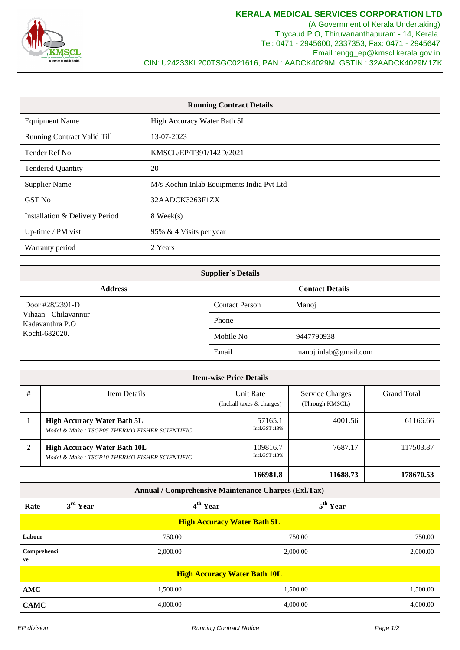

(A Government of Kerala Undertaking) Thycaud P.O, Thiruvananthapuram - 14, Kerala. Tel: 0471 - 2945600, 2337353, Fax: 0471 - 2945647 Email :engg\_ep@kmscl.kerala.gov.in CIN: U24233KL200TSGC021616, PAN : AADCK4029M, GSTIN : 32AADCK4029M1ZK

| <b>Running Contract Details</b>    |                                           |  |  |  |
|------------------------------------|-------------------------------------------|--|--|--|
| <b>Equipment Name</b>              | High Accuracy Water Bath 5L               |  |  |  |
| <b>Running Contract Valid Till</b> | 13-07-2023                                |  |  |  |
| Tender Ref No                      | KMSCL/EP/T391/142D/2021                   |  |  |  |
| <b>Tendered Quantity</b>           | 20                                        |  |  |  |
| <b>Supplier Name</b>               | M/s Kochin Inlab Equipments India Pvt Ltd |  |  |  |
| <b>GST No</b>                      | 32AADCK3263F1ZX                           |  |  |  |
| Installation & Delivery Period     | 8 Week(s)                                 |  |  |  |
| Up-time / PM vist                  | 95% & 4 Visits per year                   |  |  |  |
| Warranty period                    | 2 Years                                   |  |  |  |

| <b>Supplier's Details</b>                |                        |                       |  |  |  |  |  |
|------------------------------------------|------------------------|-----------------------|--|--|--|--|--|
| <b>Address</b>                           | <b>Contact Details</b> |                       |  |  |  |  |  |
| Door $\frac{\#28}{2391-D}$               | <b>Contact Person</b>  | Manoj                 |  |  |  |  |  |
| Vihaan - Chilavannur<br>Kadavanthra P.O. | Phone                  |                       |  |  |  |  |  |
| Kochi-682020.                            | Mobile No              | 9447790938            |  |  |  |  |  |
|                                          | Email                  | manoj.inlab@gmail.com |  |  |  |  |  |

| <b>Item-wise Price Details</b>                       |                                                                                      |          |                                                |                                           |          |                      |           |  |
|------------------------------------------------------|--------------------------------------------------------------------------------------|----------|------------------------------------------------|-------------------------------------------|----------|----------------------|-----------|--|
| #                                                    | <b>Item Details</b>                                                                  |          | <b>Unit Rate</b><br>(Incl.all taxes & charges) | <b>Service Charges</b><br>(Through KMSCL) |          | <b>Grand Total</b>   |           |  |
| 1                                                    | <b>High Accuracy Water Bath 5L</b><br>Model & Make: TSGP05 THERMO FISHER SCIENTIFIC  |          |                                                | 57165.1<br>Incl.GST:18%                   | 4001.56  |                      | 61166.66  |  |
| $\mathfrak{2}$                                       | <b>High Accuracy Water Bath 10L</b><br>Model & Make: TSGP10 THERMO FISHER SCIENTIFIC |          |                                                | 109816.7<br>Incl.GST:18%                  | 7687.17  |                      | 117503.87 |  |
|                                                      |                                                                                      |          |                                                | 166981.8                                  | 11688.73 |                      | 178670.53 |  |
| Annual / Comprehensive Maintenance Charges (Exl.Tax) |                                                                                      |          |                                                |                                           |          |                      |           |  |
| Rate                                                 |                                                                                      | 3rd Year |                                                | 4 <sup>th</sup> Year                      |          | 5 <sup>th</sup> Year |           |  |
| <b>High Accuracy Water Bath 5L</b>                   |                                                                                      |          |                                                |                                           |          |                      |           |  |
| Labour<br>750.00                                     |                                                                                      | 750.00   |                                                | 750.00                                    |          |                      |           |  |
| Comprehensi<br>2,000.00<br>ve                        |                                                                                      | 2,000.00 |                                                | 2,000.00                                  |          |                      |           |  |
| <b>High Accuracy Water Bath 10L</b>                  |                                                                                      |          |                                                |                                           |          |                      |           |  |
|                                                      | 1,500.00<br><b>AMC</b>                                                               |          | 1,500.00                                       |                                           |          | 1,500.00             |           |  |
| 4,000.00<br><b>CAMC</b>                              |                                                                                      | 4,000.00 |                                                | 4,000.00                                  |          |                      |           |  |